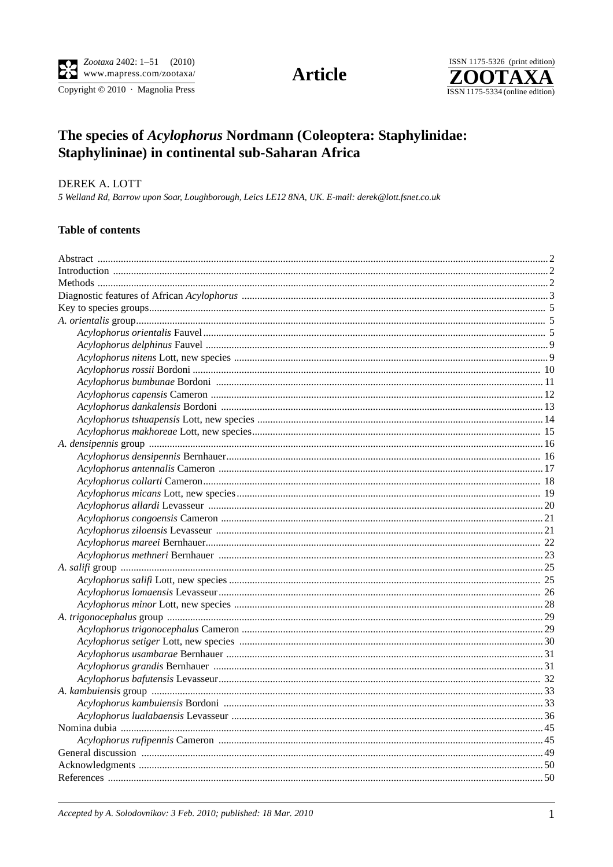Copyright © 2010 · Magnolia Press

# **Article**



# The species of Acylophorus Nordmann (Coleoptera: Staphylinidae: Staphylininae) in continental sub-Saharan Africa

# DEREK A. LOTT

5 Welland Rd, Barrow upon Soar, Loughborough, Leics LE12 8NA, UK. E-mail: derek@lott.fsnet.co.uk

#### **Table of contents**